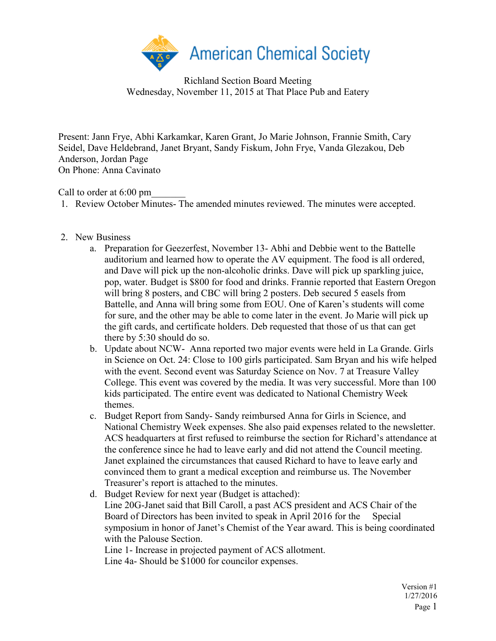

Richland Section Board Meeting Wednesday, November 11, 2015 at That Place Pub and Eatery

Present: Jann Frye, Abhi Karkamkar, Karen Grant, Jo Marie Johnson, Frannie Smith, Cary Seidel, Dave Heldebrand, Janet Bryant, Sandy Fiskum, John Frye, Vanda Glezakou, Deb Anderson, Jordan Page On Phone: Anna Cavinato

Call to order at 6:00 pm

- 1. Review October Minutes- The amended minutes reviewed. The minutes were accepted.
- 2. New Business
	- a. Preparation for Geezerfest, November 13- Abhi and Debbie went to the Battelle auditorium and learned how to operate the AV equipment. The food is all ordered, and Dave will pick up the non-alcoholic drinks. Dave will pick up sparkling juice, pop, water. Budget is \$800 for food and drinks. Frannie reported that Eastern Oregon will bring 8 posters, and CBC will bring 2 posters. Deb secured 5 easels from Battelle, and Anna will bring some from EOU. One of Karen's students will come for sure, and the other may be able to come later in the event. Jo Marie will pick up the gift cards, and certificate holders. Deb requested that those of us that can get there by 5:30 should do so.
	- b. Update about NCW- Anna reported two major events were held in La Grande. Girls in Science on Oct. 24: Close to 100 girls participated. Sam Bryan and his wife helped with the event. Second event was Saturday Science on Nov. 7 at Treasure Valley College. This event was covered by the media. It was very successful. More than 100 kids participated. The entire event was dedicated to National Chemistry Week themes.
	- c. Budget Report from Sandy- Sandy reimbursed Anna for Girls in Science, and National Chemistry Week expenses. She also paid expenses related to the newsletter. ACS headquarters at first refused to reimburse the section for Richard's attendance at the conference since he had to leave early and did not attend the Council meeting. Janet explained the circumstances that caused Richard to have to leave early and convinced them to grant a medical exception and reimburse us. The November Treasurer's report is attached to the minutes.
	- d. Budget Review for next year (Budget is attached): Line 20G-Janet said that Bill Caroll, a past ACS president and ACS Chair of the Board of Directors has been invited to speak in April 2016 for the Special symposium in honor of Janet's Chemist of the Year award. This is being coordinated with the Palouse Section. Line 1- Increase in projected payment of ACS allotment.

Line 4a- Should be \$1000 for councilor expenses.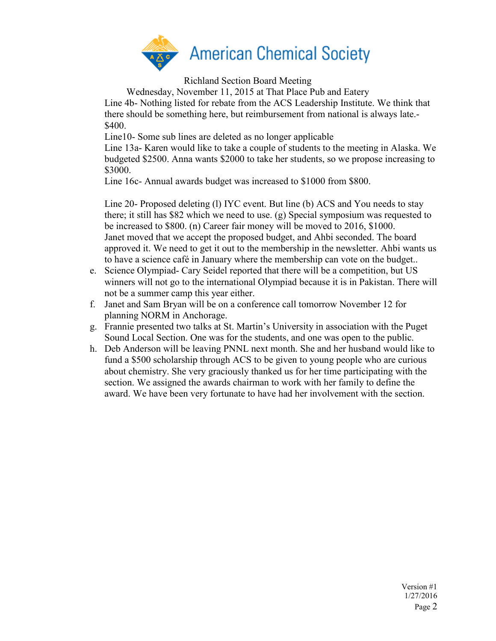

Richland Section Board Meeting

Wednesday, November 11, 2015 at That Place Pub and Eatery

Line 4b- Nothing listed for rebate from the ACS Leadership Institute. We think that there should be something here, but reimbursement from national is always late.- \$400.

Line10- Some sub lines are deleted as no longer applicable

Line 13a- Karen would like to take a couple of students to the meeting in Alaska. We budgeted \$2500. Anna wants \$2000 to take her students, so we propose increasing to \$3000.

Line 16c- Annual awards budget was increased to \$1000 from \$800.

Line 20- Proposed deleting (l) IYC event. But line (b) ACS and You needs to stay there; it still has \$82 which we need to use. (g) Special symposium was requested to be increased to \$800. (n) Career fair money will be moved to 2016, \$1000. Janet moved that we accept the proposed budget, and Ahbi seconded. The board approved it. We need to get it out to the membership in the newsletter. Ahbi wants us to have a science café in January where the membership can vote on the budget..

- e. Science Olympiad- Cary Seidel reported that there will be a competition, but US winners will not go to the international Olympiad because it is in Pakistan. There will not be a summer camp this year either.
- f. Janet and Sam Bryan will be on a conference call tomorrow November 12 for planning NORM in Anchorage.
- g. Frannie presented two talks at St. Martin's University in association with the Puget Sound Local Section. One was for the students, and one was open to the public.
- h. Deb Anderson will be leaving PNNL next month. She and her husband would like to fund a \$500 scholarship through ACS to be given to young people who are curious about chemistry. She very graciously thanked us for her time participating with the section. We assigned the awards chairman to work with her family to define the award. We have been very fortunate to have had her involvement with the section.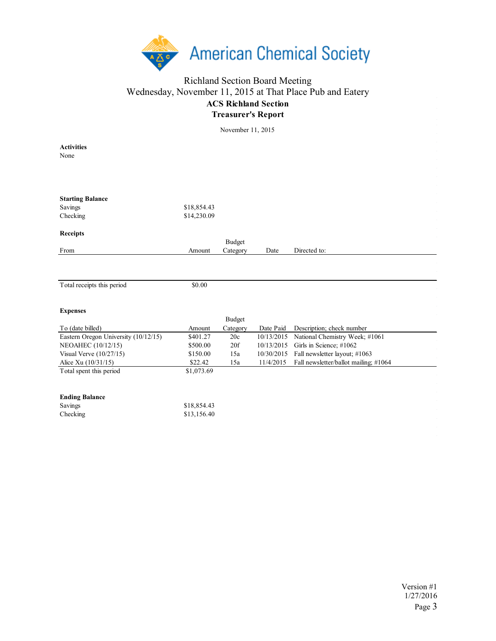

## Richland Section Board Meeting Wednesday, November 11, 2015 at That Place Pub and Eatery **ACS Richland Section Treasurer's Report**

November 11, 2015

| <b>Activities</b>                    |             |               |            |                                       |
|--------------------------------------|-------------|---------------|------------|---------------------------------------|
| None                                 |             |               |            |                                       |
|                                      |             |               |            |                                       |
|                                      |             |               |            |                                       |
|                                      |             |               |            |                                       |
|                                      |             |               |            |                                       |
| <b>Starting Balance</b>              |             |               |            |                                       |
| Savings                              | \$18,854.43 |               |            |                                       |
| Checking                             | \$14,230.09 |               |            |                                       |
| <b>Receipts</b>                      |             |               |            |                                       |
|                                      |             | <b>Budget</b> |            |                                       |
| From                                 | Amount      | Category      | Date       | Directed to:                          |
|                                      |             |               |            |                                       |
|                                      |             |               |            |                                       |
|                                      |             |               |            |                                       |
| Total receipts this period           | \$0.00      |               |            |                                       |
|                                      |             |               |            |                                       |
|                                      |             |               |            |                                       |
| <b>Expenses</b>                      |             |               |            |                                       |
|                                      |             | <b>Budget</b> |            |                                       |
| To (date billed)                     | Amount      | Category      | Date Paid  | Description; check number             |
| Eastern Oregon University (10/12/15) | \$401.27    | 20c           | 10/13/2015 | National Chemistry Week; #1061        |
| NEOAHEC (10/12/15)                   | \$500.00    | 20f           | 10/13/2015 | Girls in Science; #1062               |
| Visual Verve $(10/27/15)$            | \$150.00    | 15a           | 10/30/2015 | Fall newsletter layout; #1063         |
| Alice Xu (10/31/15)                  | \$22.42     | 15a           | 11/4/2015  | Fall newsletter/ballot mailing; #1064 |
| Total spent this period              | \$1,073.69  |               |            |                                       |
|                                      |             |               |            |                                       |
|                                      |             |               |            |                                       |
| <b>Ending Balance</b>                |             |               |            |                                       |
| Savings                              | \$18,854.43 |               |            |                                       |
| Checking                             | \$13,156.40 |               |            |                                       |
|                                      |             |               |            |                                       |
|                                      |             |               |            |                                       |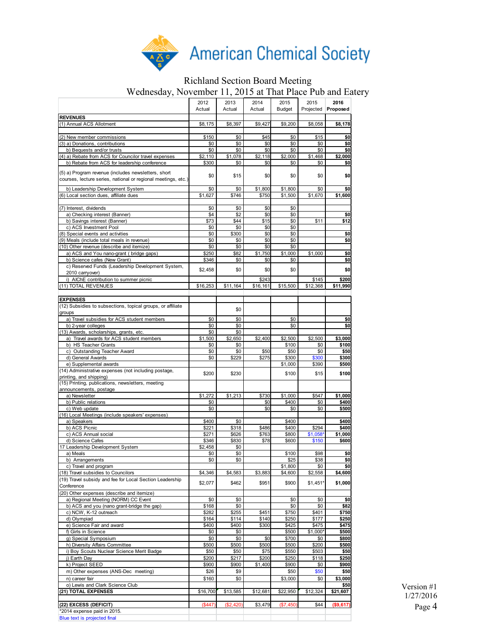

## Richland Section Board Meeting

Wednesday, November 11, 2015 at That Place Pub and Eatery

|                                                                                                                                      | 2012<br>Actual | 2013<br>Actual | 2014<br>Actual    | 2015<br><b>Budget</b> | 2015<br>Projected | 2016<br>Proposed  |
|--------------------------------------------------------------------------------------------------------------------------------------|----------------|----------------|-------------------|-----------------------|-------------------|-------------------|
| <b>REVENUES</b>                                                                                                                      |                |                |                   |                       |                   |                   |
| (1) Annual ACS Allotment                                                                                                             | \$8,175        | \$8,397        | \$9,427           | \$9,200               | \$8,058           | \$8,178           |
|                                                                                                                                      |                |                |                   |                       |                   |                   |
| (2) New member commissions                                                                                                           | \$150          | \$0<br>\$0     | \$45              | \$0<br>\$0            | \$15<br>\$0       | \$0<br>\$0        |
| (3) a) Donations, contributions<br>b) Bequests and/or trusts                                                                         | \$0<br>\$0     | \$0            | \$0<br>\$0        | \$0                   | \$0               | \$0               |
| (4) a) Rebate from ACS for Councilor travel expenses                                                                                 | \$2,110        | \$1,078        | \$2,118           | \$2.000               | \$1,468           | \$2,000           |
| b) Rebate from ACS for leadership conference                                                                                         | \$300          | \$0            | \$0               | \$0                   | \$0               | \$0               |
| (5) a) Program revenue (includes newsletters, short<br>courses, lecture series, national or regional meetings, etc.)                 | \$0            | \$15           | \$0               | \$0                   | \$0               | \$0               |
| b) Leadership Development System                                                                                                     | \$0            | \$0            | \$1,800           | \$1,800               | \$0               | \$0               |
| (6) Local section dues, affiliate dues                                                                                               | \$1.627        | \$746          | \$750             | \$1,500               | \$1,670           | \$1,600           |
|                                                                                                                                      |                |                |                   |                       |                   |                   |
| (7) Interest, dividends                                                                                                              | \$0            | \$0            | \$0               | \$0                   |                   |                   |
| a) Checking interest (Banner)                                                                                                        | \$4            | \$2            | \$0               | \$0                   |                   | \$0               |
| b) Savings interest (Banner)<br>c) ACS Investment Pool                                                                               | \$73<br>\$0    | \$44<br>\$0    | \$15<br>\$0       | \$0<br>\$0            | \$11              | \$12              |
| (8) Special events and activities                                                                                                    | \$0            | \$300          | \$0               | \$0                   |                   | \$0               |
| (9) Meals (include total meals in revenue)                                                                                           | \$0            | \$0            | \$0               | \$0                   |                   | \$0               |
| (10) Other revenue (describe and itemize)                                                                                            | \$0            | \$0            | \$0               | \$0                   |                   |                   |
| a) ACS and You nano-grant (bridge gaps)                                                                                              | \$250          | \$82           | \$1,750           | \$1,000               | \$1,000           | \$0               |
| b) Science cafes (New Grant)                                                                                                         | \$346          | \$0            | \$0               | \$0                   |                   | \$0               |
| c) Reserved Funds (Leadership Development System,<br>2010 carryover)                                                                 | \$2,458        | \$0            | \$0               | \$0                   |                   | \$0               |
| i) AIChE contribution to summer picnic<br>(11) TOTAL REVENUES                                                                        | \$16,253       | \$11,164       | \$243<br>\$16,161 | \$15,500              | \$145<br>\$12,368 | \$200<br>\$11,990 |
|                                                                                                                                      |                |                |                   |                       |                   |                   |
| <b>EXPENSES</b>                                                                                                                      |                |                |                   |                       |                   |                   |
| (12) Subsidies to subsections, topical groups, or affiliate                                                                          |                |                |                   |                       |                   |                   |
| groups                                                                                                                               |                | \$0            |                   |                       |                   |                   |
| a) Travel subsidies for ACS student members                                                                                          | \$0            | \$0            |                   | \$0                   |                   | \$0               |
| b) 2-year colleges                                                                                                                   | \$0            | \$0            |                   | \$0                   |                   | \$0               |
| (13) Awards, scholarships, grants, etc.<br>a) Travel awards for ACS student members                                                  | \$0<br>\$1,500 | \$0<br>\$2,650 | \$2,400           | \$2,500               | \$2,500           | \$3,000           |
| b) HS Teacher Grants                                                                                                                 | \$0            | \$0            |                   | \$100                 | \$0               | \$100             |
| c) Outstanding Teacher Award                                                                                                         | \$0            | \$0            | \$50              | \$50                  | \$0               | \$50              |
| d) General Awards                                                                                                                    | \$0            | \$229          | \$275             | \$300                 | \$300             | \$300             |
| e) Supplemental awards                                                                                                               |                |                |                   | \$1,000               | \$390             | \$500             |
| (14) Administrative expenses (not including postage,<br>printing, and shipping)<br>(15) Printing, publications, newsletters, meeting | \$200          | \$230          |                   | \$100                 | \$15              | \$100             |
| announcements, postage                                                                                                               |                |                |                   |                       |                   |                   |
| a) Newsletter                                                                                                                        | \$1,272        | \$1,213        | \$730             | \$1,000               | \$547             | \$1,000           |
| b) Public relations                                                                                                                  | \$0            |                | \$0               | \$400                 | \$0               | \$400             |
| c) Web update                                                                                                                        | \$0            |                | \$0               | \$0                   | \$0               | \$500             |
| (16) Local Meetings (include speakers' expenses)                                                                                     |                |                |                   |                       |                   |                   |
| a) Speakers<br>b) ACS Picnic                                                                                                         | \$400<br>\$221 | \$0<br>\$318   | \$486             | \$400<br>\$400        | \$294             | \$400<br>\$400    |
| c) ACS Annual social                                                                                                                 | \$271          | \$626          | \$763             | \$800                 | \$1,058'          | \$1,000           |
| d) Science Cafes                                                                                                                     | \$346          | \$830          | \$78              | \$600                 | \$150             | \$600             |
| 17 Leadership Development System                                                                                                     | \$2,458        | \$0            |                   |                       |                   |                   |
| a) Meals                                                                                                                             | \$0            | \$0            |                   | \$100                 | \$98              | \$0               |
| b) Arrangements                                                                                                                      | \$0            | \$0            |                   | \$25                  | \$38              | \$0               |
| c) Travel and program<br>(18) Travel subsidies to Councilors                                                                         | \$4,346        | \$4,583        | \$3,883           | \$1,800<br>\$4,600    | \$0<br>\$2,558    | \$0<br>\$4,600    |
| (19) Travel subsidy and fee for Local Section Leadership                                                                             |                |                |                   |                       |                   |                   |
| Conference<br>(20) Other expenses (describe and itemize)                                                                             | \$2,077        | \$462          | \$951             | \$900                 | $$1,451*$         | \$1,000           |
| a) Regional Meeting (NORM) CC Event                                                                                                  | \$0            | \$0            |                   | \$0                   | \$0               | \$0               |
| b) ACS and you (nano grant-bridge the gap)                                                                                           | \$168          | \$0            |                   | \$0                   | \$0               | \$82              |
| c) NCW, K-12 outreach                                                                                                                | \$282          | \$255          | \$451             | \$750                 | \$401             | \$750             |
| d) Olympiad                                                                                                                          | \$164          | \$114          | \$140             | \$250                 | \$177             | \$250             |
| e) Science Fair and award<br>f) Girls in Science                                                                                     | \$400<br>\$0   | \$400<br>\$0   | \$300             | \$425<br>\$500        | \$475<br>\$1,000* | \$475<br>\$500    |
| g) Special Symposium                                                                                                                 | \$0            | \$0            | \$0               | \$700                 | \$0               | \$800             |
| h) Diversity Affairs Committee                                                                                                       | \$500          | \$500          | \$500             | \$500                 | \$200             | \$500             |
| i) Boy Scouts Nuclear Science Merit Badge                                                                                            | \$50           | \$50           | \$75              | \$550                 | \$503             | \$50              |
| i) Earth Day                                                                                                                         | \$200          | \$217          | \$200             | \$250                 | \$118             | \$250             |
| k) Project SEED                                                                                                                      | \$900          | \$900          | \$1,400           | \$900                 | \$0               | \$900             |
| m) Other expenses (ANS-Dec meeting)                                                                                                  | \$26           | \$9            |                   | \$50                  | \$50              | \$50              |
| n) career fair<br>o) Lewis and Clark Science Club                                                                                    | \$160          | \$0            |                   | \$3,000               | \$0               | \$3,000<br>\$50   |
| (21) TOTAL EXPENSES                                                                                                                  | \$16,700       | \$13,585       | \$12,681          | \$22,950              | \$12,324          | \$21,607          |
| (22) EXCESS (DEFICIT)                                                                                                                | (\$447)        | (\$2,420)      | \$3,479           | (\$7,450)             | \$44              | (\$9,617)         |
| *2014 expense paid in 2015.                                                                                                          |                |                |                   |                       |                   |                   |
| Blue text is projected final                                                                                                         |                |                |                   |                       |                   |                   |

Version #1 1/27/2016 Page 4